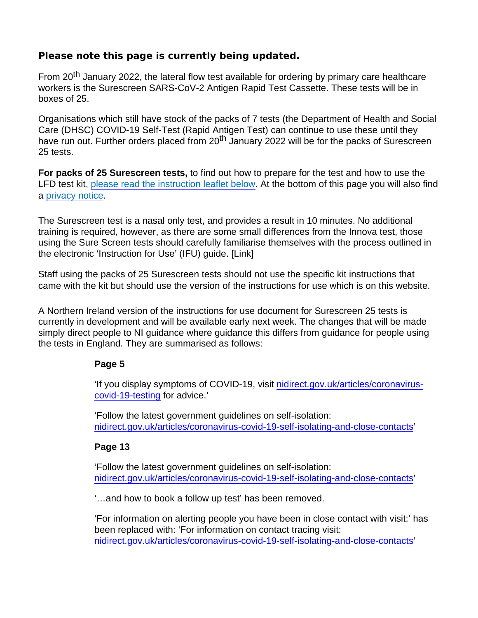## Please note this page is currently being updated.

From 20<sup>th</sup> January 2022, the lateral flow test available for ordering by primary care healthcare workers is the Surescreen SARS-CoV-2 Antigen Rapid Test Cassette. These tests will be in boxes of 25.

Organisations which still have stock of the packs of 7 tests (the Department of Health and Social Care (DHSC) COVID-19 Self-Test (Rapid Antigen Test) can continue to use these until they have run out. Further orders placed from 20<sup>th</sup> January 2022 will be for the packs of Surescreen 25 tests.

For packs of 25 Surescreen tests, to find out how to prepare for the test and how to use the LFD test kit, [please read the instruction leaflet below](https://www.publichealth.hscni.net/sites/default/files/2022-05/TC2606_Version_N_Ire_1_CO-0311-January22_v04 - ONLINE READY.PDF). At the bottom of this page you will also find a [privacy notice](https://www.publichealth.hscni.net/sites/default/files/2022-01/LTF Staff Testing Privacy Notice 04-01-2022_0.pdf).

The Surescreen test is a nasal only test, and provides a result in 10 minutes. No additional training is required, however, as there are some small differences from the Innova test, those using the Sure Screen tests should carefully familiarise themselves with the process outlined in the electronic 'Instruction for Use' (IFU) guide. [Link]

Staff using the packs of 25 Surescreen tests should not use the specific kit instructions that came with the kit but should use the version of the instructions for use which is on this website.

A Northern Ireland version of the instructions for use document for Surescreen 25 tests is currently in development and will be available early next week. The changes that will be made simply direct people to NI guidance where guidance this differs from guidance for people using the tests in England. They are summarised as follows:

## Page 5

'If you display symptoms of COVID-19, visit [nidirect.gov.uk/articles/coronavirus](https://www.nidirect.gov.uk/articles/coronavirus-covid-19-testing)[covid-19-testing](https://www.nidirect.gov.uk/articles/coronavirus-covid-19-testing) for advice.'

'Follow the latest government guidelines on self-isolation: [nidirect.gov.uk/articles/coronavirus-covid-19-self-isolating-and-close-contacts'](https://www.nidirect.gov.uk/articles/coronavirus-covid-19-self-isolating-and-close-contacts)

Page 13

'Follow the latest government guidelines on self-isolation: [nidirect.gov.uk/articles/coronavirus-covid-19-self-isolating-and-close-contacts'](https://www.nidirect.gov.uk/articles/coronavirus-covid-19-self-isolating-and-close-contacts)

'…and how to book a follow up test' has been removed.

'For information on alerting people you have been in close contact with visit:' has been replaced with: 'For information on contact tracing visit: [nidirect.gov.uk/articles/coronavirus-covid-19-self-isolating-and-close-contacts'](https://www.nidirect.gov.uk/articles/coronavirus-covid-19-self-isolating-and-close-contacts)